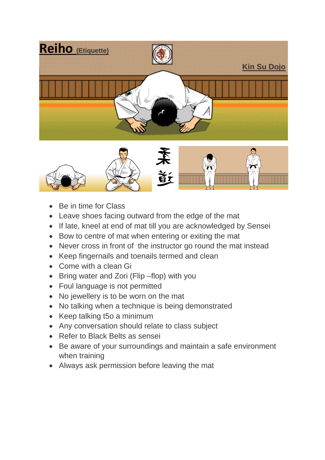



- Be in time for Class
- Leave shoes facing outward from the edge of the mat
- If late, kneel at end of mat till you are acknowledged by Sensei
- Bow to centre of mat when entering or exiting the mat
- Never cross in front of the instructor go round the mat instead
- Keep fingernails and toenails termed and clean
- Come with a clean Gi
- Bring water and Zori (Flip –flop) with you
- Foul language is not permitted
- No jewellery is to be worn on the mat
- No talking when a technique is being demonstrated
- Keep talking t5o a minimum
- Any conversation should relate to class subject
- Refer to Black Belts as sensei
- Be aware of your surroundings and maintain a safe environment when training
- Always ask permission before leaving the mat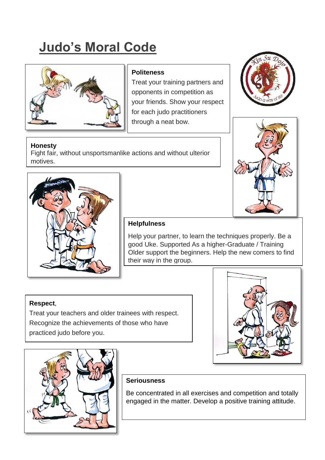# **Judo's Moral Code**



## **Politeness**

Treat your training partners and opponents in competition as your friends. Show your respect for each judo practitioners through a neat bow.

#### **Honesty**

Fight fair, without unsportsmanlike actions and without ulterior motives.







### **Helpfulness**

Help your partner, to learn the techniques properly. Be a good Uke. Supported As a higher-Graduate / Training Older support the beginners. Help the new comers to find their way in the group.

## **Respect**,

Treat your teachers and older trainees with respect. Recognize the achievements of those who have practiced judo before you.





#### **Seriousness**

Be concentrated in all exercises and competition and totally engaged in the matter. Develop a positive training attitude.